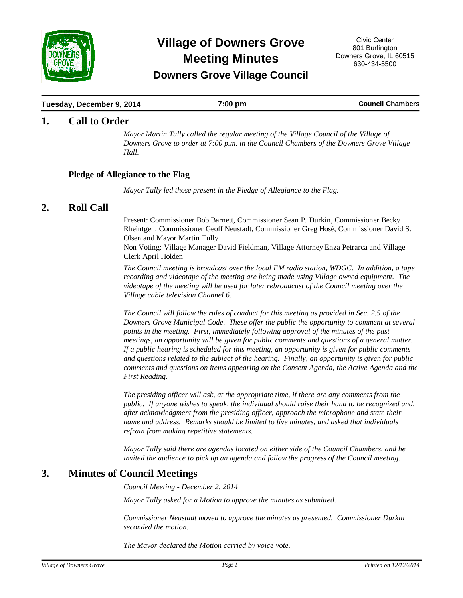

# **Meeting Minutes Village of Downers Grove** Civic Center

# **Downers Grove Village Council**

## **Tuesday, December 9, 2014 19. In the Leaper of Transform of Transform Council Chambers Council Chambers**

## **1.** Call to Order

*Mayor Martin Tully called the regular meeting of the Village Council of the Village of Downers Grove to order at 7:00 p.m. in the Council Chambers of the Downers Grove Village Hall.*

## **Pledge of Allegiance to the Flag**

*Mayor Tully led those present in the Pledge of Allegiance to the Flag.*

## 2. Roll Call

Present: Commissioner Bob Barnett, Commissioner Sean P. Durkin, Commissioner Becky Rheintgen, Commissioner Geoff Neustadt, Commissioner Greg Hosé, Commissioner David S. Olsen and Mayor Martin Tully

Non Voting: Village Manager David Fieldman, Village Attorney Enza Petrarca and Village Clerk April Holden

*The Council meeting is broadcast over the local FM radio station, WDGC. In addition, a tape recording and videotape of the meeting are being made using Village owned equipment. The videotape of the meeting will be used for later rebroadcast of the Council meeting over the Village cable television Channel 6.*

*The Council will follow the rules of conduct for this meeting as provided in Sec. 2.5 of the Downers Grove Municipal Code. These offer the public the opportunity to comment at several points in the meeting. First, immediately following approval of the minutes of the past meetings, an opportunity will be given for public comments and questions of a general matter. If a public hearing is scheduled for this meeting, an opportunity is given for public comments and questions related to the subject of the hearing. Finally, an opportunity is given for public comments and questions on items appearing on the Consent Agenda, the Active Agenda and the First Reading.* 

*The presiding officer will ask, at the appropriate time, if there are any comments from the public. If anyone wishes to speak, the individual should raise their hand to be recognized and, after acknowledgment from the presiding officer, approach the microphone and state their name and address. Remarks should be limited to five minutes, and asked that individuals refrain from making repetitive statements.* 

*Mayor Tully said there are agendas located on either side of the Council Chambers, and he invited the audience to pick up an agenda and follow the progress of the Council meeting.*

# **3. Minutes of Council Meetings**

*Council Meeting - December 2, 2014*

*Mayor Tully asked for a Motion to approve the minutes as submitted.* 

*Commissioner Neustadt moved to approve the minutes as presented. Commissioner Durkin seconded the motion.* 

*The Mayor declared the Motion carried by voice vote.*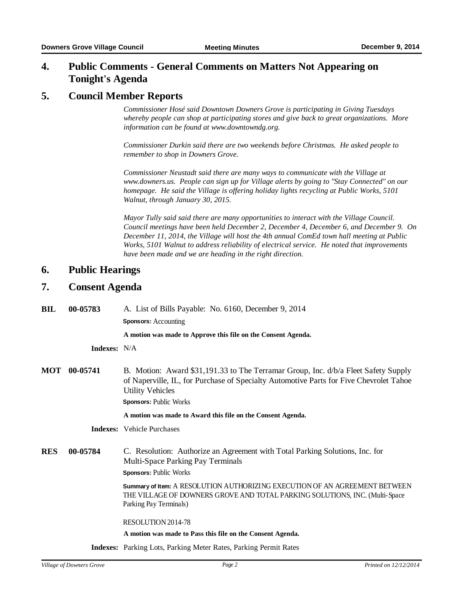#### **Public Comments - General Comments on Matters Not Appearing on Tonight's Agenda 4.**

## **5. Council Member Reports**

*Commissioner Hosé said Downtown Downers Grove is participating in Giving Tuesdays whereby people can shop at participating stores and give back to great organizations. More information can be found at www.downtowndg.org.*

*Commissioner Durkin said there are two weekends before Christmas. He asked people to remember to shop in Downers Grove.*

*Commissioner Neustadt said there are many ways to communicate with the Village at www.downers.us. People can sign up for Village alerts by going to "Stay Connected" on our homepage. He said the Village is offering holiday lights recycling at Public Works, 5101 Walnut, through January 30, 2015.*

*Mayor Tully said said there are many opportunities to interact with the Village Council. Council meetings have been held December 2, December 4, December 6, and December 9. On December 11, 2014, the Village will host the 4th annual ComEd town hall meeting at Public Works, 5101 Walnut to address reliability of electrical service. He noted that improvements have been made and we are heading in the right direction.*

## **6.** Public Hearings

# 7. Consent Agenda

| BIL | 00-05783 | A. List of Bills Payable: No. 6160, December 9, 2014 |
|-----|----------|------------------------------------------------------|
|     |          | <b>Sponsors:</b> Accounting                          |

**A motion was made to Approve this file on the Consent Agenda.**

**Indexes:** N/A

**B.** Motion: Award \$31,191.33 to The Terramar Group, Inc. d/b/a Fleet Safety Supply of Naperville, IL, for Purchase of Specialty Automotive Parts for Five Chevrolet Tahoe Utility Vehicles **MOT**

**Sponsors:** Public Works

**A motion was made to Award this file on the Consent Agenda.**

**Indexes:** Vehicle Purchases

**00-05784** C. Resolution: Authorize an Agreement with Total Parking Solutions, Inc. for Multi-Space Parking Pay Terminals **RES**

**Sponsors:** Public Works

**Summary of Item:** A RESOLUTION AUTHORIZING EXECUTION OF AN AGREEMENT BETWEEN THE VILLAGE OF DOWNERS GROVE AND TOTAL PARKING SOLUTIONS, INC. (Multi-Space Parking Pay Terminals)

RESOLUTION 2014-78

**A motion was made to Pass this file on the Consent Agenda.**

**Indexes:** Parking Lots, Parking Meter Rates, Parking Permit Rates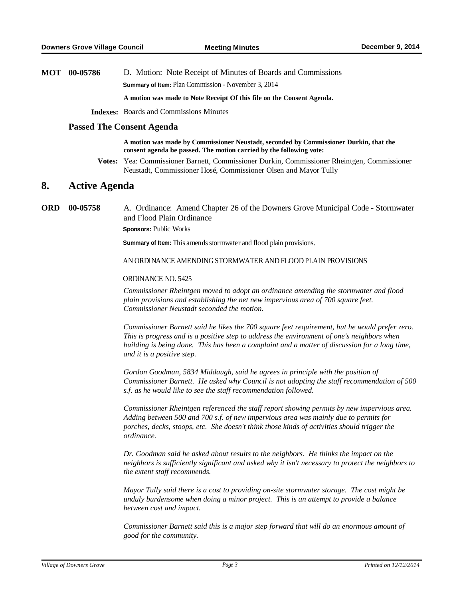**MOT 00-05786** D. Motion: Note Receipt of Minutes of Boards and Commissions **Summary of Item:** Plan Commission - November 3, 2014

**A motion was made to Note Receipt Of this file on the Consent Agenda.**

**Indexes:** Boards and Commissions Minutes

#### **Passed The Consent Agenda**

**A motion was made by Commissioner Neustadt, seconded by Commissioner Durkin, that the consent agenda be passed. The motion carried by the following vote:**

**Votes:** Yea: Commissioner Barnett, Commissioner Durkin, Commissioner Rheintgen, Commissioner Neustadt, Commissioner Hosé, Commissioner Olsen and Mayor Tully

## **8.** Active Agenda

**00-05758** A. Ordinance: Amend Chapter 26 of the Downers Grove Municipal Code - Stormwater and Flood Plain Ordinance **ORD**

**Sponsors:** Public Works

**Summary of Item:** This amends stormwater and flood plain provisions.

AN ORDINANCE AMENDING STORMWATER AND FLOOD PLAIN PROVISIONS

#### ORDINANCE NO. 5425

*Commissioner Rheintgen moved to adopt an ordinance amending the stormwater and flood plain provisions and establishing the net new impervious area of 700 square feet. Commissioner Neustadt seconded the motion.* 

*Commissioner Barnett said he likes the 700 square feet requirement, but he would prefer zero. This is progress and is a positive step to address the environment of one's neighbors when building is being done. This has been a complaint and a matter of discussion for a long time, and it is a positive step.*

*Gordon Goodman, 5834 Middaugh, said he agrees in principle with the position of Commissioner Barnett. He asked why Council is not adopting the staff recommendation of 500 s.f. as he would like to see the staff recommendation followed.*

*Commissioner Rheintgen referenced the staff report showing permits by new impervious area. Adding between 500 and 700 s.f. of new impervious area was mainly due to permits for porches, decks, stoops, etc. She doesn't think those kinds of activities should trigger the ordinance.*

*Dr. Goodman said he asked about results to the neighbors. He thinks the impact on the neighbors is sufficiently significant and asked why it isn't necessary to protect the neighbors to the extent staff recommends.*

*Mayor Tully said there is a cost to providing on-site stormwater storage. The cost might be unduly burdensome when doing a minor project. This is an attempt to provide a balance between cost and impact.*

*Commissioner Barnett said this is a major step forward that will do an enormous amount of good for the community.*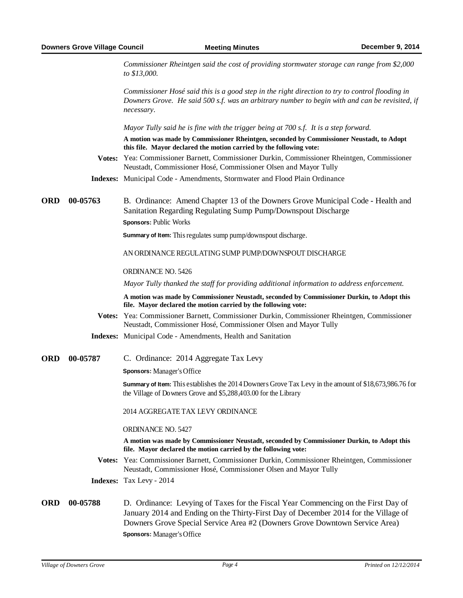|            |          | Commissioner Rheintgen said the cost of providing stormwater storage can range from \$2,000<br>to \$13,000.                                                                                                                                             |
|------------|----------|---------------------------------------------------------------------------------------------------------------------------------------------------------------------------------------------------------------------------------------------------------|
|            |          | Commissioner Hosé said this is a good step in the right direction to try to control flooding in<br>Downers Grove. He said 500 s.f. was an arbitrary number to begin with and can be revisited, if<br>necessary.                                         |
|            |          | Mayor Tully said he is fine with the trigger being at 700 s.f. It is a step forward.                                                                                                                                                                    |
|            |          | A motion was made by Commissioner Rheintgen, seconded by Commissioner Neustadt, to Adopt<br>this file. Mayor declared the motion carried by the following vote:                                                                                         |
|            |          | Votes: Yea: Commissioner Barnett, Commissioner Durkin, Commissioner Rheintgen, Commissioner<br>Neustadt, Commissioner Hosé, Commissioner Olsen and Mayor Tully                                                                                          |
|            |          | Indexes: Municipal Code - Amendments, Stormwater and Flood Plain Ordinance                                                                                                                                                                              |
| <b>ORD</b> | 00-05763 | B. Ordinance: Amend Chapter 13 of the Downers Grove Municipal Code - Health and<br>Sanitation Regarding Regulating Sump Pump/Downspout Discharge<br>Sponsors: Public Works                                                                              |
|            |          | Summary of Item: This regulates sump pump/downspout discharge.                                                                                                                                                                                          |
|            |          | AN ORDINANCE REGULATING SUMP PUMP/DOWNSPOUT DISCHARGE                                                                                                                                                                                                   |
|            |          | ORDINANCE NO. 5426                                                                                                                                                                                                                                      |
|            |          | Mayor Tully thanked the staff for providing additional information to address enforcement.                                                                                                                                                              |
|            |          | A motion was made by Commissioner Neustadt, seconded by Commissioner Durkin, to Adopt this<br>file. Mayor declared the motion carried by the following vote:                                                                                            |
|            |          | Votes: Yea: Commissioner Barnett, Commissioner Durkin, Commissioner Rheintgen, Commissioner<br>Neustadt, Commissioner Hosé, Commissioner Olsen and Mayor Tully                                                                                          |
|            |          | <b>Indexes:</b> Municipal Code - Amendments, Health and Sanitation                                                                                                                                                                                      |
| <b>ORD</b> | 00-05787 | C. Ordinance: 2014 Aggregate Tax Levy                                                                                                                                                                                                                   |
|            |          | <b>Sponsors:</b> Manager's Office                                                                                                                                                                                                                       |
|            |          | Summary of Item: This establishes the 2014 Downers Grove Tax Levy in the amount of \$18,673,986.76 for<br>the Village of Downers Grove and \$5,288,403.00 for the Library                                                                               |
|            |          | 2014 AGGREGATE TAX LEVY ORDINANCE                                                                                                                                                                                                                       |
|            |          | ORDINANCE NO. 5427                                                                                                                                                                                                                                      |
|            |          | A motion was made by Commissioner Neustadt, seconded by Commissioner Durkin, to Adopt this<br>file. Mayor declared the motion carried by the following vote:                                                                                            |
|            |          | Votes: Yea: Commissioner Barnett, Commissioner Durkin, Commissioner Rheintgen, Commissioner<br>Neustadt, Commissioner Hosé, Commissioner Olsen and Mayor Tully                                                                                          |
|            |          | <b>Indexes:</b> Tax Levy - 2014                                                                                                                                                                                                                         |
| <b>ORD</b> | 00-05788 | D. Ordinance: Levying of Taxes for the Fiscal Year Commencing on the First Day of<br>January 2014 and Ending on the Thirty-First Day of December 2014 for the Village of<br>Downers Grove Special Service Area #2 (Downers Grove Downtown Service Area) |

**Sponsors:** Manager's Office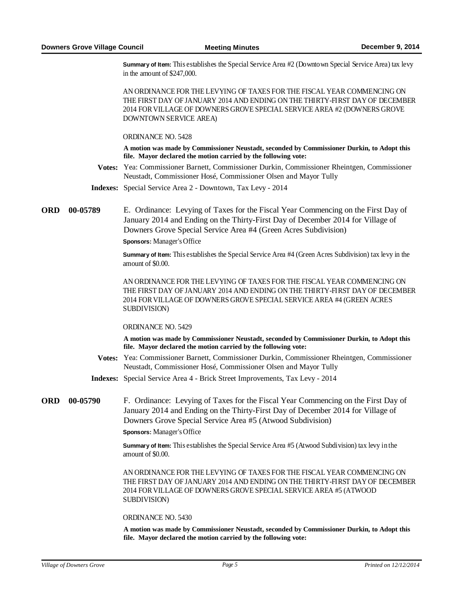**Summary of Item:** This establishes the Special Service Area #2 (Downtown Special Service Area) tax levy in the amount of \$247,000.

AN ORDINANCE FOR THE LEVYING OF TAXES FOR THE FISCAL YEAR COMMENCING ON THE FIRST DAY OF JANUARY 2014 AND ENDING ON THE THIRTY-FIRST DAY OF DECEMBER 2014 FOR VILLAGE OF DOWNERS GROVE SPECIAL SERVICE AREA #2 (DOWNERS GROVE DOWNTOWN SERVICE AREA)

ORDINANCE NO. 5428

**A motion was made by Commissioner Neustadt, seconded by Commissioner Durkin, to Adopt this file. Mayor declared the motion carried by the following vote:**

**Votes:** Yea: Commissioner Barnett, Commissioner Durkin, Commissioner Rheintgen, Commissioner Neustadt, Commissioner Hosé, Commissioner Olsen and Mayor Tully

**Indexes:** Special Service Area 2 - Downtown, Tax Levy - 2014

**00-05789** E. Ordinance: Levying of Taxes for the Fiscal Year Commencing on the First Day of January 2014 and Ending on the Thirty-First Day of December 2014 for Village of Downers Grove Special Service Area #4 (Green Acres Subdivision) ORD 00-05789

**Sponsors:** Manager's Office

**Summary of Item:** This establishes the Special Service Area #4 (Green Acres Subdivision) tax levy in the amount of \$0.00.

AN ORDINANCE FOR THE LEVYING OF TAXES FOR THE FISCAL YEAR COMMENCING ON THE FIRST DAY OF JANUARY 2014 AND ENDING ON THE THIRTY-FIRST DAY OF DECEMBER 2014 FOR VILLAGE OF DOWNERS GROVE SPECIAL SERVICE AREA #4 (GREEN ACRES SUBDIVISION)

ORDINANCE NO. 5429

**A motion was made by Commissioner Neustadt, seconded by Commissioner Durkin, to Adopt this file. Mayor declared the motion carried by the following vote:**

**Votes:** Yea: Commissioner Barnett, Commissioner Durkin, Commissioner Rheintgen, Commissioner Neustadt, Commissioner Hosé, Commissioner Olsen and Mayor Tully

**Indexes:** Special Service Area 4 - Brick Street Improvements, Tax Levy - 2014

F. Ordinance: Levying of Taxes for the Fiscal Year Commencing on the First Day of January 2014 and Ending on the Thirty-First Day of December 2014 for Village of Downers Grove Special Service Area #5 (Atwood Subdivision) ORD 00-05790 **Sponsors:** Manager's Office

> **Summary of Item:** This establishes the Special Service Area #5 (Atwood Subdivision) tax levy in the amount of \$0.00.

AN ORDINANCE FOR THE LEVYING OF TAXES FOR THE FISCAL YEAR COMMENCING ON THE FIRST DAY OF JANUARY 2014 AND ENDING ON THE THIRTY-FIRST DAY OF DECEMBER 2014 FOR VILLAGE OF DOWNERS GROVE SPECIAL SERVICE AREA #5 (ATWOOD SUBDIVISION)

ORDINANCE NO. 5430

**A motion was made by Commissioner Neustadt, seconded by Commissioner Durkin, to Adopt this file. Mayor declared the motion carried by the following vote:**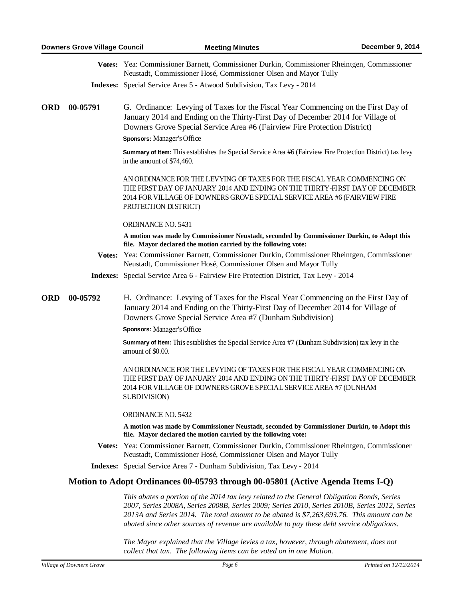|            |                                                                                | Votes: Yea: Commissioner Barnett, Commissioner Durkin, Commissioner Rheintgen, Commissioner<br>Neustadt, Commissioner Hosé, Commissioner Olsen and Mayor Tully                                                                                                                            |  |
|------------|--------------------------------------------------------------------------------|-------------------------------------------------------------------------------------------------------------------------------------------------------------------------------------------------------------------------------------------------------------------------------------------|--|
|            |                                                                                | Indexes: Special Service Area 5 - Atwood Subdivision, Tax Levy - 2014                                                                                                                                                                                                                     |  |
| <b>ORD</b> | 00-05791                                                                       | G. Ordinance: Levying of Taxes for the Fiscal Year Commencing on the First Day of<br>January 2014 and Ending on the Thirty-First Day of December 2014 for Village of<br>Downers Grove Special Service Area #6 (Fairview Fire Protection District)<br><b>Sponsors:</b> Manager's Office    |  |
|            |                                                                                | Summary of Item: This establishes the Special Service Area #6 (Fairview Fire Protection District) tax levy<br>in the amount of \$74,460.                                                                                                                                                  |  |
|            |                                                                                | AN ORDINANCE FOR THE LEVYING OF TAXES FOR THE FISCAL YEAR COMMENCING ON<br>THE FIRST DAY OF JANUARY 2014 AND ENDING ON THE THIRTY-FIRST DAY OF DECEMBER<br>2014 FOR VILLAGE OF DOWNERS GROVE SPECIAL SERVICE AREA #6 (FAIRVIEW FIRE<br>PROTECTION DISTRICT)                               |  |
|            |                                                                                | ORDINANCE NO. 5431                                                                                                                                                                                                                                                                        |  |
|            |                                                                                | A motion was made by Commissioner Neustadt, seconded by Commissioner Durkin, to Adopt this<br>file. Mayor declared the motion carried by the following vote:                                                                                                                              |  |
|            |                                                                                | Votes: Yea: Commissioner Barnett, Commissioner Durkin, Commissioner Rheintgen, Commissioner<br>Neustadt, Commissioner Hosé, Commissioner Olsen and Mayor Tully                                                                                                                            |  |
|            |                                                                                | <b>Indexes:</b> Special Service Area 6 - Fairview Fire Protection District, Tax Levy - 2014                                                                                                                                                                                               |  |
| <b>ORD</b> | 00-05792                                                                       | H. Ordinance: Levying of Taxes for the Fiscal Year Commencing on the First Day of<br>January 2014 and Ending on the Thirty-First Day of December 2014 for Village of<br>Downers Grove Special Service Area #7 (Dunham Subdivision)<br><b>Sponsors:</b> Manager's Office                   |  |
|            |                                                                                | Summary of Item: This establishes the Special Service Area #7 (Dunham Subdivision) tax levy in the<br>amount of \$0.00.                                                                                                                                                                   |  |
|            |                                                                                | AN ORDINANCE FOR THE LEVYING OF TAXES FOR THE FISCAL YEAR COMMENCING ON<br>THE FIRST DAY OF JANUARY 2014 AND ENDING ON THE THIRTY-FIRST DAY OF DECEMBER<br>2014 FOR VILLAGE OF DOWNERS GROVE SPECIAL SERVICE AREA #7 (DUNHAM<br>SUBDIVISION)                                              |  |
|            |                                                                                | ORDINANCE NO. 5432                                                                                                                                                                                                                                                                        |  |
|            |                                                                                | A motion was made by Commissioner Neustadt, seconded by Commissioner Durkin, to Adopt this<br>file. Mayor declared the motion carried by the following vote:                                                                                                                              |  |
|            |                                                                                | Votes: Yea: Commissioner Barnett, Commissioner Durkin, Commissioner Rheintgen, Commissioner<br>Neustadt, Commissioner Hosé, Commissioner Olsen and Mayor Tully                                                                                                                            |  |
|            |                                                                                | <b>Indexes:</b> Special Service Area 7 - Dunham Subdivision, Tax Levy - 2014                                                                                                                                                                                                              |  |
|            | Motion to Adopt Ordinances 00-05793 through 00-05801 (Active Agenda Items I-Q) |                                                                                                                                                                                                                                                                                           |  |
|            |                                                                                | This abates a portion of the 2014 tax levy related to the General Obligation Bonds, Series<br>2007, Series 2008A, Series 2008B, Series 2009; Series 2010, Series 2010B, Series 2012, Series<br>2013A and Series 2014. The total amount to be abated is \$7,263,693.76. This amount can be |  |

*The Mayor explained that the Village levies a tax, however, through abatement, does not collect that tax. The following items can be voted on in one Motion.*

*abated since other sources of revenue are available to pay these debt service obligations.*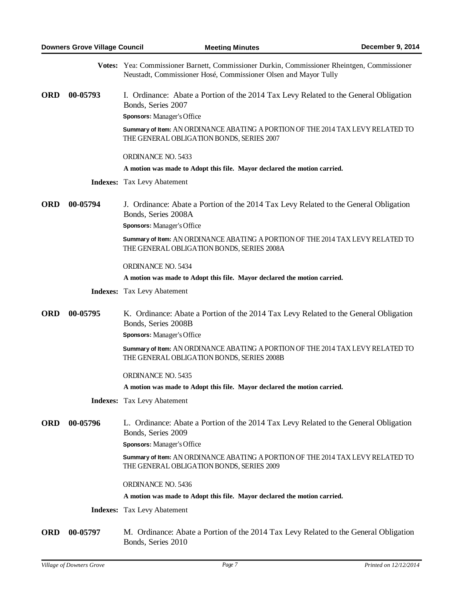|            |          | Votes: Yea: Commissioner Barnett, Commissioner Durkin, Commissioner Rheintgen, Commissioner<br>Neustadt, Commissioner Hosé, Commissioner Olsen and Mayor Tully |
|------------|----------|----------------------------------------------------------------------------------------------------------------------------------------------------------------|
| <b>ORD</b> | 00-05793 | I. Ordinance: Abate a Portion of the 2014 Tax Levy Related to the General Obligation<br>Bonds, Series 2007                                                     |
|            |          | Sponsors: Manager's Office                                                                                                                                     |
|            |          | Summary of Item: AN ORDINANCE ABATING A PORTION OF THE 2014 TAX LEVY RELATED TO<br>THE GENERAL OBLIGATION BONDS, SERIES 2007                                   |
|            |          | ORDINANCE NO. 5433                                                                                                                                             |
|            |          | A motion was made to Adopt this file. Mayor declared the motion carried.                                                                                       |
|            |          | <b>Indexes:</b> Tax Levy Abatement                                                                                                                             |
| <b>ORD</b> | 00-05794 | J. Ordinance: Abate a Portion of the 2014 Tax Levy Related to the General Obligation<br>Bonds, Series 2008A                                                    |
|            |          | <b>Sponsors:</b> Manager's Office                                                                                                                              |
|            |          | Summary of Item: AN ORDINANCE ABATING A PORTION OF THE 2014 TAX LEVY RELATED TO<br>THE GENERAL OBLIGATION BONDS, SERIES 2008A                                  |
|            |          | ORDINANCE NO. 5434                                                                                                                                             |
|            |          | A motion was made to Adopt this file. Mayor declared the motion carried.                                                                                       |
|            |          | <b>Indexes:</b> Tax Levy Abatement                                                                                                                             |
| <b>ORD</b> | 00-05795 | K. Ordinance: Abate a Portion of the 2014 Tax Levy Related to the General Obligation<br>Bonds, Series 2008B                                                    |
|            |          | Sponsors: Manager's Office                                                                                                                                     |
|            |          | Summary of Item: AN ORDINANCE ABATING A PORTION OF THE 2014 TAX LEVY RELATED TO<br>THE GENERAL OBLIGATION BONDS, SERIES 2008B                                  |
|            |          | ORDINANCE NO. 5435                                                                                                                                             |
|            |          | A motion was made to Adopt this file. Mayor declared the motion carried.                                                                                       |
|            |          | <b>Indexes:</b> Tax Levy Abatement                                                                                                                             |
| <b>ORD</b> | 00-05796 | L. Ordinance: Abate a Portion of the 2014 Tax Levy Related to the General Obligation<br>Bonds, Series 2009                                                     |
|            |          | Sponsors: Manager's Office                                                                                                                                     |
|            |          | Summary of Item: AN ORDINANCE ABATING A PORTION OF THE 2014 TAX LEVY RELATED TO<br>THE GENERAL OBLIGATION BONDS, SERIES 2009                                   |
|            |          | <b>ORDINANCE NO. 5436</b>                                                                                                                                      |
|            |          | A motion was made to Adopt this file. Mayor declared the motion carried.                                                                                       |
|            |          | <b>Indexes:</b> Tax Levy Abatement                                                                                                                             |
| <b>ORD</b> | 00-05797 | M. Ordinance: Abate a Portion of the 2014 Tax Levy Related to the General Obligation                                                                           |

Bonds, Series 2010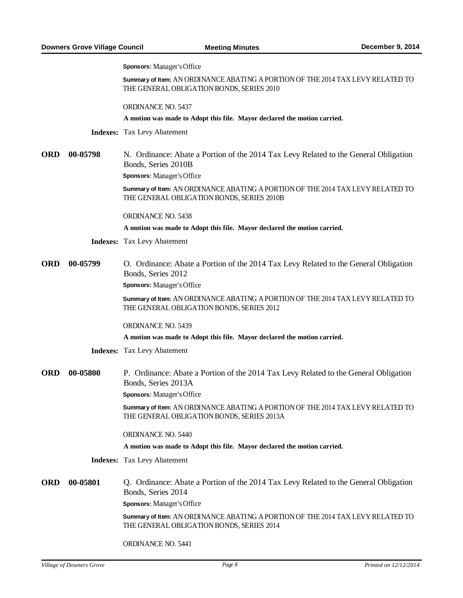**Sponsors:** Manager's Office

**Summary of Item:** AN ORDINANCE ABATING A PORTION OF THE 2014 TAX LEVY RELATED TO THE GENERAL OBLIGATION BONDS, SERIES 2010

ORDINANCE NO. 5437

**A motion was made to Adopt this file. Mayor declared the motion carried.**

**Indexes:** Tax Levy Abatement

**00-05798** N. Ordinance: Abate a Portion of the 2014 Tax Levy Related to the General Obligation Bonds, Series 2010B ORD 00-05798

**Sponsors:** Manager's Office

**Summary of Item:** AN ORDINANCE ABATING A PORTION OF THE 2014 TAX LEVY RELATED TO THE GENERAL OBLIGATION BONDS, SERIES 2010B

ORDINANCE NO. 5438

**A motion was made to Adopt this file. Mayor declared the motion carried.**

**Indexes:** Tax Levy Abatement

**00-05799** O. Ordinance: Abate a Portion of the 2014 Tax Levy Related to the General Obligation Bonds, Series 2012 ORD 00-05799

**Sponsors:** Manager's Office

**Summary of Item:** AN ORDINANCE ABATING A PORTION OF THE 2014 TAX LEVY RELATED TO THE GENERAL OBLIGATION BONDS, SERIES 2012

ORDINANCE NO. 5439

**A motion was made to Adopt this file. Mayor declared the motion carried.**

**Indexes:** Tax Levy Abatement

**00-05800** P. Ordinance: Abate a Portion of the 2014 Tax Levy Related to the General Obligation Bonds, Series 2013A ORD 00-05800 **Sponsors:** Manager's Office

> **Summary of Item:** AN ORDINANCE ABATING A PORTION OF THE 2014 TAX LEVY RELATED TO THE GENERAL OBLIGATION BONDS, SERIES 2013A

ORDINANCE NO. 5440

**A motion was made to Adopt this file. Mayor declared the motion carried.**

**Indexes:** Tax Levy Abatement

**00-05801** Q. Ordinance: Abate a Portion of the 2014 Tax Levy Related to the General Obligation Bonds, Series 2014 ORD 00-05801

**Sponsors:** Manager's Office

**Summary of Item:** AN ORDINANCE ABATING A PORTION OF THE 2014 TAX LEVY RELATED TO THE GENERAL OBLIGATION BONDS, SERIES 2014

ORDINANCE NO. 5441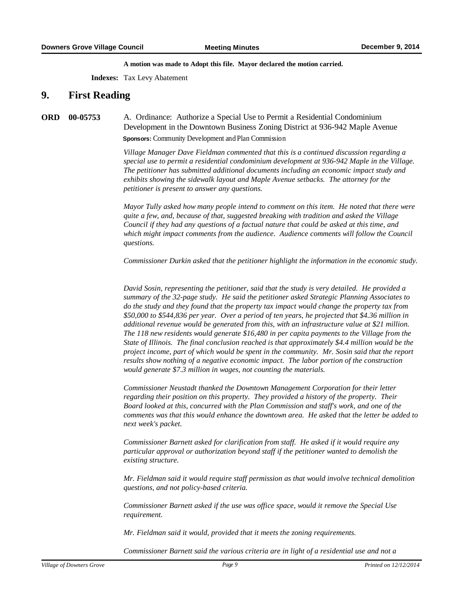**A motion was made to Adopt this file. Mayor declared the motion carried.**

**Indexes:** Tax Levy Abatement

## **9.** First Reading

#### **00-05753** A. Ordinance: Authorize a Special Use to Permit a Residential Condominium Development in the Downtown Business Zoning District at 936-942 Maple Avenue **ORD Sponsors:** Community Development and Plan Commission

*Village Manager Dave Fieldman commented that this is a continued discussion regarding a special use to permit a residential condominium development at 936-942 Maple in the Village. The petitioner has submitted additional documents including an economic impact study and exhibits showing the sidewalk layout and Maple Avenue setbacks. The attorney for the petitioner is present to answer any questions.*

*Mayor Tully asked how many people intend to comment on this item. He noted that there were quite a few, and, because of that, suggested breaking with tradition and asked the Village Council if they had any questions of a factual nature that could be asked at this time, and which might impact comments from the audience. Audience comments will follow the Council questions.*

*Commissioner Durkin asked that the petitioner highlight the information in the economic study.*

*David Sosin, representing the petitioner, said that the study is very detailed. He provided a summary of the 32-page study. He said the petitioner asked Strategic Planning Associates to do the study and they found that the property tax impact would change the property tax from \$50,000 to \$544,836 per year. Over a period of ten years, he projected that \$4.36 million in additional revenue would be generated from this, with an infrastructure value at \$21 million. The 118 new residents would generate \$16,480 in per capita payments to the Village from the State of Illinois. The final conclusion reached is that approximately \$4.4 million would be the project income, part of which would be spent in the community. Mr. Sosin said that the report results show nothing of a negative economic impact. The labor portion of the construction would generate \$7.3 million in wages, not counting the materials.*

*Commissioner Neustadt thanked the Downtown Management Corporation for their letter regarding their position on this property. They provided a history of the property. Their Board looked at this, concurred with the Plan Commission and staff's work, and one of the comments was that this would enhance the downtown area. He asked that the letter be added to next week's packet.*

*Commissioner Barnett asked for clarification from staff. He asked if it would require any particular approval or authorization beyond staff if the petitioner wanted to demolish the existing structure.* 

*Mr. Fieldman said it would require staff permission as that would involve technical demolition questions, and not policy-based criteria.*

*Commissioner Barnett asked if the use was office space, would it remove the Special Use requirement.* 

*Mr. Fieldman said it would, provided that it meets the zoning requirements.*

*Commissioner Barnett said the various criteria are in light of a residential use and not a*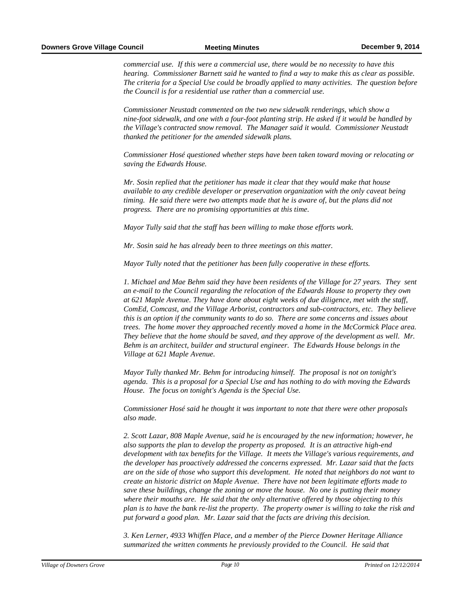*commercial use. If this were a commercial use, there would be no necessity to have this hearing. Commissioner Barnett said he wanted to find a way to make this as clear as possible. The criteria for a Special Use could be broadly applied to many activities. The question before the Council is for a residential use rather than a commercial use.*

*Commissioner Neustadt commented on the two new sidewalk renderings, which show a nine-foot sidewalk, and one with a four-foot planting strip. He asked if it would be handled by the Village's contracted snow removal. The Manager said it would. Commissioner Neustadt thanked the petitioner for the amended sidewalk plans.*

*Commissioner Hosé questioned whether steps have been taken toward moving or relocating or saving the Edwards House.*

*Mr. Sosin replied that the petitioner has made it clear that they would make that house available to any credible developer or preservation organization with the only caveat being timing. He said there were two attempts made that he is aware of, but the plans did not progress. There are no promising opportunities at this time.*

*Mayor Tully said that the staff has been willing to make those efforts work.*

*Mr. Sosin said he has already been to three meetings on this matter.*

*Mayor Tully noted that the petitioner has been fully cooperative in these efforts.*

*1. Michael and Mae Behm said they have been residents of the Village for 27 years. They sent an e-mail to the Council regarding the relocation of the Edwards House to property they own at 621 Maple Avenue. They have done about eight weeks of due diligence, met with the staff, ComEd, Comcast, and the Village Arborist, contractors and sub-contractors, etc. They believe this is an option if the community wants to do so. There are some concerns and issues about trees. The home mover they approached recently moved a home in the McCormick Place area. They believe that the home should be saved, and they approve of the development as well. Mr. Behm is an architect, builder and structural engineer. The Edwards House belongs in the Village at 621 Maple Avenue.*

*Mayor Tully thanked Mr. Behm for introducing himself. The proposal is not on tonight's agenda. This is a proposal for a Special Use and has nothing to do with moving the Edwards House. The focus on tonight's Agenda is the Special Use.*

*Commissioner Hosé said he thought it was important to note that there were other proposals also made.*

*2. Scott Lazar, 808 Maple Avenue, said he is encouraged by the new information; however, he also supports the plan to develop the property as proposed. It is an attractive high-end development with tax benefits for the Village. It meets the Village's various requirements, and the developer has proactively addressed the concerns expressed. Mr. Lazar said that the facts are on the side of those who support this development. He noted that neighbors do not want to create an historic district on Maple Avenue. There have not been legitimate efforts made to save these buildings, change the zoning or move the house. No one is putting their money where their mouths are. He said that the only alternative offered by those objecting to this plan is to have the bank re-list the property. The property owner is willing to take the risk and put forward a good plan. Mr. Lazar said that the facts are driving this decision.*

*3. Ken Lerner, 4933 Whiffen Place, and a member of the Pierce Downer Heritage Alliance summarized the written comments he previously provided to the Council. He said that*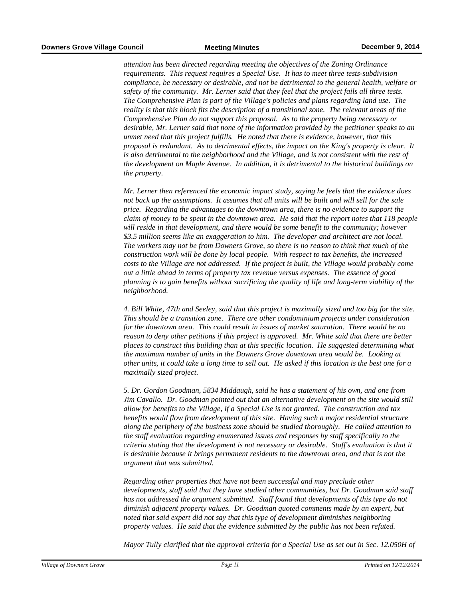*attention has been directed regarding meeting the objectives of the Zoning Ordinance requirements. This request requires a Special Use. It has to meet three tests-subdivision compliance, be necessary or desirable, and not be detrimental to the general health, welfare or safety of the community. Mr. Lerner said that they feel that the project fails all three tests. The Comprehensive Plan is part of the Village's policies and plans regarding land use. The reality is that this block fits the description of a transitional zone. The relevant areas of the Comprehensive Plan do not support this proposal. As to the property being necessary or desirable, Mr. Lerner said that none of the information provided by the petitioner speaks to an unmet need that this project fulfills. He noted that there is evidence, however, that this proposal is redundant. As to detrimental effects, the impact on the King's property is clear. It is also detrimental to the neighborhood and the Village, and is not consistent with the rest of the development on Maple Avenue. In addition, it is detrimental to the historical buildings on the property.* 

*Mr. Lerner then referenced the economic impact study, saying he feels that the evidence does not back up the assumptions. It assumes that all units will be built and will sell for the sale price. Regarding the advantages to the downtown area, there is no evidence to support the claim of money to be spent in the downtown area. He said that the report notes that 118 people will reside in that development, and there would be some benefit to the community; however \$3.5 million seems like an exaggeration to him. The developer and architect are not local. The workers may not be from Downers Grove, so there is no reason to think that much of the construction work will be done by local people. With respect to tax benefits, the increased costs to the Village are not addressed. If the project is built, the Village would probably come out a little ahead in terms of property tax revenue versus expenses. The essence of good planning is to gain benefits without sacrificing the quality of life and long-term viability of the neighborhood.*

*4. Bill White, 47th and Seeley, said that this project is maximally sized and too big for the site. This should be a transition zone. There are other condominium projects under consideration for the downtown area. This could result in issues of market saturation. There would be no reason to deny other petitions if this project is approved. Mr. White said that there are better places to construct this building than at this specific location. He suggested determining what the maximum number of units in the Downers Grove downtown area would be. Looking at other units, it could take a long time to sell out. He asked if this location is the best one for a maximally sized project.*

*5. Dr. Gordon Goodman, 5834 Middaugh, said he has a statement of his own, and one from Jim Cavallo. Dr. Goodman pointed out that an alternative development on the site would still allow for benefits to the Village, if a Special Use is not granted. The construction and tax benefits would flow from development of this site. Having such a major residential structure along the periphery of the business zone should be studied thoroughly. He called attention to the staff evaluation regarding enumerated issues and responses by staff specifically to the criteria stating that the development is not necessary or desirable. Staff's evaluation is that it is desirable because it brings permanent residents to the downtown area, and that is not the argument that was submitted.* 

*Regarding other properties that have not been successful and may preclude other developments, staff said that they have studied other communities, but Dr. Goodman said staff has not addressed the argument submitted. Staff found that developments of this type do not diminish adjacent property values. Dr. Goodman quoted comments made by an expert, but noted that said expert did not say that this type of development diminishes neighboring property values. He said that the evidence submitted by the public has not been refuted.* 

*Mayor Tully clarified that the approval criteria for a Special Use as set out in Sec. 12.050H of*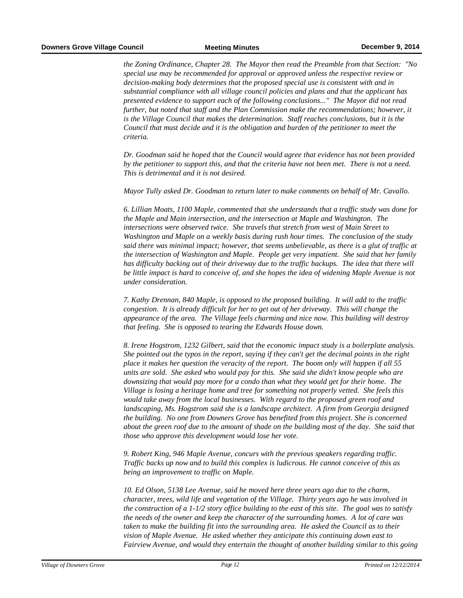*the Zoning Ordinance, Chapter 28. The Mayor then read the Preamble from that Section: "No special use may be recommended for approval or approved unless the respective review or decision-making body determines that the proposed special use is consistent with and in substantial compliance with all village council policies and plans and that the applicant has presented evidence to support each of the following conclusions..." The Mayor did not read further, but noted that staff and the Plan Commission make the recommendations; however, it is the Village Council that makes the determination. Staff reaches conclusions, but it is the Council that must decide and it is the obligation and burden of the petitioner to meet the criteria.*

*Dr. Goodman said he hoped that the Council would agree that evidence has not been provided by the petitioner to support this, and that the criteria have not been met. There is not a need. This is detrimental and it is not desired.*

*Mayor Tully asked Dr. Goodman to return later to make comments on behalf of Mr. Cavallo.* 

*6. Lillian Moats, 1100 Maple, commented that she understands that a traffic study was done for the Maple and Main intersection, and the intersection at Maple and Washington. The intersections were observed twice. She travels that stretch from west of Main Street to Washington and Maple on a weekly basis during rush hour times. The conclusion of the study said there was minimal impact; however, that seems unbelievable, as there is a glut of traffic at the intersection of Washington and Maple. People get very impatient. She said that her family has difficulty backing out of their driveway due to the traffic backups. The idea that there will be little impact is hard to conceive of, and she hopes the idea of widening Maple Avenue is not under consideration.* 

*7. Kathy Drennan, 840 Maple, is opposed to the proposed building. It will add to the traffic congestion. It is already difficult for her to get out of her driveway. This will change the appearance of the area. The Village feels charming and nice now. This building will destroy that feeling. She is opposed to tearing the Edwards House down.*

*8. Irene Hogstrom, 1232 Gilbert, said that the economic impact study is a boilerplate analysis. She pointed out the typos in the report, saying if they can't get the decimal points in the right place it makes her question the veracity of the report. The boom only will happen if all 55 units are sold. She asked who would pay for this. She said she didn't know people who are downsizing that would pay more for a condo than what they would get for their home. The Village is losing a heritage home and tree for something not properly vetted. She feels this would take away from the local businesses. With regard to the proposed green roof and landscaping, Ms. Hogstrom said she is a landscape architect. A firm from Georgia designed the building. No one from Downers Grove has benefited from this project. She is concerned about the green roof due to the amount of shade on the building most of the day. She said that those who approve this development would lose her vote.*

*9. Robert King, 946 Maple Avenue, concurs with the previous speakers regarding traffic. Traffic backs up now and to build this complex is ludicrous. He cannot conceive of this as being an improvement to traffic on Maple.*

*10. Ed Olson, 5138 Lee Avenue, said he moved here three years ago due to the charm, character, trees, wild life and vegetation of the Village. Thirty years ago he was involved in the construction of a 1-1/2 story office building to the east of this site. The goal was to satisfy the needs of the owner and keep the character of the surrounding homes. A lot of care was taken to make the building fit into the surrounding area. He asked the Council as to their vision of Maple Avenue. He asked whether they anticipate this continuing down east to Fairview Avenue, and would they entertain the thought of another building similar to this going*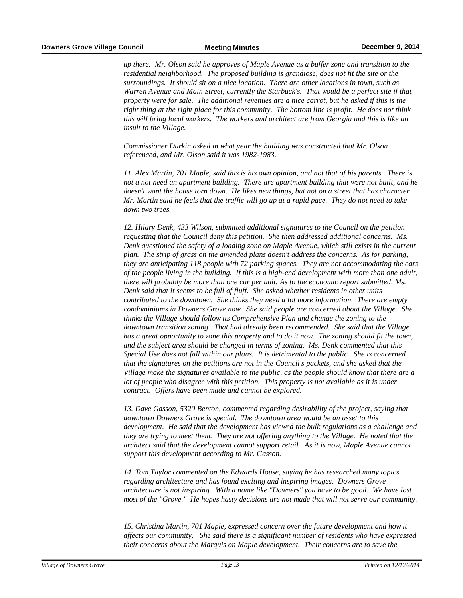*up there. Mr. Olson said he approves of Maple Avenue as a buffer zone and transition to the residential neighborhood. The proposed building is grandiose, does not fit the site or the surroundings. It should sit on a nice location. There are other locations in town, such as Warren Avenue and Main Street, currently the Starbuck's. That would be a perfect site if that property were for sale. The additional revenues are a nice carrot, but he asked if this is the right thing at the right place for this community. The bottom line is profit. He does not think this will bring local workers. The workers and architect are from Georgia and this is like an insult to the Village.* 

*Commissioner Durkin asked in what year the building was constructed that Mr. Olson referenced, and Mr. Olson said it was 1982-1983.*

*11. Alex Martin, 701 Maple, said this is his own opinion, and not that of his parents. There is not a not need an apartment building. There are apartment building that were not built, and he doesn't want the house torn down. He likes new things, but not on a street that has character. Mr. Martin said he feels that the traffic will go up at a rapid pace. They do not need to take down two trees.* 

*12. Hilary Denk, 433 Wilson, submitted additional signatures to the Council on the petition requesting that the Council deny this petition. She then addressed additional concerns. Ms. Denk questioned the safety of a loading zone on Maple Avenue, which still exists in the current plan. The strip of grass on the amended plans doesn't address the concerns. As for parking, they are anticipating 118 people with 72 parking spaces. They are not accommodating the cars of the people living in the building. If this is a high-end development with more than one adult, there will probably be more than one car per unit. As to the economic report submitted, Ms. Denk said that it seems to be full of fluff. She asked whether residents in other units contributed to the downtown. She thinks they need a lot more information. There are empty condominiums in Downers Grove now. She said people are concerned about the Village. She thinks the Village should follow its Comprehensive Plan and change the zoning to the downtown transition zoning. That had already been recommended. She said that the Village has a great opportunity to zone this property and to do it now. The zoning should fit the town, and the subject area should be changed in terms of zoning. Ms. Denk commented that this Special Use does not fall within our plans. It is detrimental to the public. She is concerned that the signatures on the petitions are not in the Council's packets, and she asked that the Village make the signatures available to the public, as the people should know that there are a lot of people who disagree with this petition. This property is not available as it is under contract. Offers have been made and cannot be explored.*

*13. Dave Gasson, 5320 Benton, commented regarding desirability of the project, saying that downtown Downers Grove is special. The downtown area would be an asset to this development. He said that the development has viewed the bulk regulations as a challenge and they are trying to meet them. They are not offering anything to the Village. He noted that the architect said that the development cannot support retail. As it is now, Maple Avenue cannot support this development according to Mr. Gasson.*

*14. Tom Taylor commented on the Edwards House, saying he has researched many topics regarding architecture and has found exciting and inspiring images. Downers Grove architecture is not inspiring. With a name like "Downers" you have to be good. We have lost most of the "Grove." He hopes hasty decisions are not made that will not serve our community.*

*15. Christina Martin, 701 Maple, expressed concern over the future development and how it affects our community. She said there is a significant number of residents who have expressed their concerns about the Marquis on Maple development. Their concerns are to save the*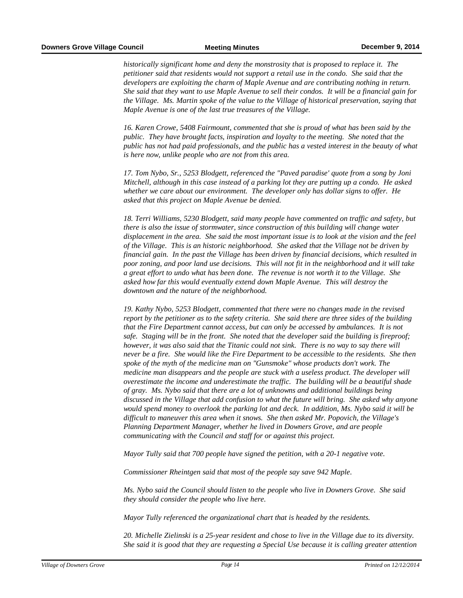*historically significant home and deny the monstrosity that is proposed to replace it. The petitioner said that residents would not support a retail use in the condo. She said that the developers are exploiting the charm of Maple Avenue and are contributing nothing in return. She said that they want to use Maple Avenue to sell their condos. It will be a financial gain for the Village. Ms. Martin spoke of the value to the Village of historical preservation, saying that Maple Avenue is one of the last true treasures of the Village.*

*16. Karen Crowe, 5408 Fairmount, commented that she is proud of what has been said by the public. They have brought facts, inspiration and loyalty to the meeting. She noted that the public has not had paid professionals, and the public has a vested interest in the beauty of what is here now, unlike people who are not from this area.* 

*17. Tom Nybo, Sr., 5253 Blodgett, referenced the "Paved paradise' quote from a song by Joni Mitchell, although in this case instead of a parking lot they are putting up a condo. He asked whether we care about our environment. The developer only has dollar signs to offer. He asked that this project on Maple Avenue be denied.*

*18. Terri Williams, 5230 Blodgett, said many people have commented on traffic and safety, but there is also the issue of stormwater, since construction of this building will change water displacement in the area. She said the most important issue is to look at the vision and the feel of the Village. This is an historic neighborhood. She asked that the Village not be driven by financial gain. In the past the Village has been driven by financial decisions, which resulted in poor zoning, and poor land use decisions. This will not fit in the neighborhood and it will take a great effort to undo what has been done. The revenue is not worth it to the Village. She asked how far this would eventually extend down Maple Avenue. This will destroy the downtown and the nature of the neighborhood.*

*19. Kathy Nybo, 5253 Blodgett, commented that there were no changes made in the revised report by the petitioner as to the safety criteria. She said there are three sides of the building that the Fire Department cannot access, but can only be accessed by ambulances. It is not safe. Staging will be in the front. She noted that the developer said the building is fireproof; however, it was also said that the Titanic could not sink. There is no way to say there will never be a fire. She would like the Fire Department to be accessible to the residents. She then spoke of the myth of the medicine man on "Gunsmoke" whose products don't work. The medicine man disappears and the people are stuck with a useless product. The developer will overestimate the income and underestimate the traffic. The building will be a beautiful shade of gray. Ms. Nybo said that there are a lot of unknowns and additional buildings being discussed in the Village that add confusion to what the future will bring. She asked why anyone would spend money to overlook the parking lot and deck. In addition, Ms. Nybo said it will be difficult to maneuver this area when it snows. She then asked Mr. Popovich, the Village's Planning Department Manager, whether he lived in Downers Grove, and are people communicating with the Council and staff for or against this project.* 

*Mayor Tully said that 700 people have signed the petition, with a 20-1 negative vote.*

*Commissioner Rheintgen said that most of the people say save 942 Maple.* 

*Ms. Nybo said the Council should listen to the people who live in Downers Grove. She said they should consider the people who live here.*

*Mayor Tully referenced the organizational chart that is headed by the residents.*

*20. Michelle Zielinski is a 25-year resident and chose to live in the Village due to its diversity. She said it is good that they are requesting a Special Use because it is calling greater attention*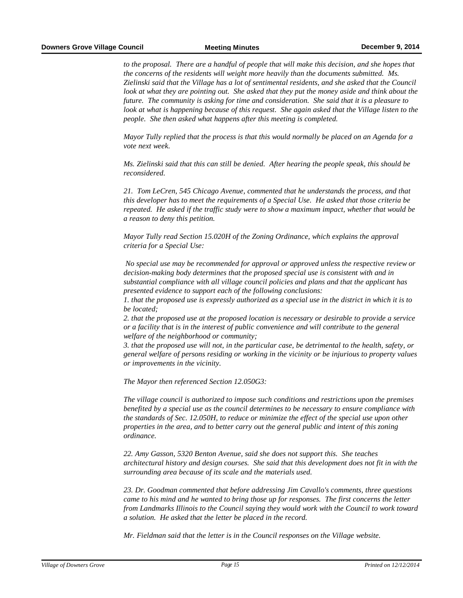*to the proposal. There are a handful of people that will make this decision, and she hopes that the concerns of the residents will weight more heavily than the documents submitted. Ms. Zielinski said that the Village has a lot of sentimental residents, and she asked that the Council look at what they are pointing out. She asked that they put the money aside and think about the future. The community is asking for time and consideration. She said that it is a pleasure to look at what is happening because of this request. She again asked that the Village listen to the people. She then asked what happens after this meeting is completed.*

*Mayor Tully replied that the process is that this would normally be placed on an Agenda for a vote next week.*

*Ms. Zielinski said that this can still be denied. After hearing the people speak, this should be reconsidered.*

*21. Tom LeCren, 545 Chicago Avenue, commented that he understands the process, and that this developer has to meet the requirements of a Special Use. He asked that those criteria be repeated. He asked if the traffic study were to show a maximum impact, whether that would be a reason to deny this petition.*

*Mayor Tully read Section 15.020H of the Zoning Ordinance, which explains the approval criteria for a Special Use:*

 *No special use may be recommended for approval or approved unless the respective review or decision-making body determines that the proposed special use is consistent with and in substantial compliance with all village council policies and plans and that the applicant has presented evidence to support each of the following conclusions:* 

*1. that the proposed use is expressly authorized as a special use in the district in which it is to be located;* 

*2. that the proposed use at the proposed location is necessary or desirable to provide a service or a facility that is in the interest of public convenience and will contribute to the general welfare of the neighborhood or community;* 

*3. that the proposed use will not, in the particular case, be detrimental to the health, safety, or general welfare of persons residing or working in the vicinity or be injurious to property values or improvements in the vicinity.* 

*The Mayor then referenced Section 12.050G3:* 

*The village council is authorized to impose such conditions and restrictions upon the premises benefited by a special use as the council determines to be necessary to ensure compliance with the standards of Sec. 12.050H, to reduce or minimize the effect of the special use upon other properties in the area, and to better carry out the general public and intent of this zoning ordinance.* 

*22. Amy Gasson, 5320 Benton Avenue, said she does not support this. She teaches architectural history and design courses. She said that this development does not fit in with the surrounding area because of its scale and the materials used.* 

*23. Dr. Goodman commented that before addressing Jim Cavallo's comments, three questions came to his mind and he wanted to bring those up for responses. The first concerns the letter from Landmarks Illinois to the Council saying they would work with the Council to work toward a solution. He asked that the letter be placed in the record.* 

*Mr. Fieldman said that the letter is in the Council responses on the Village website.*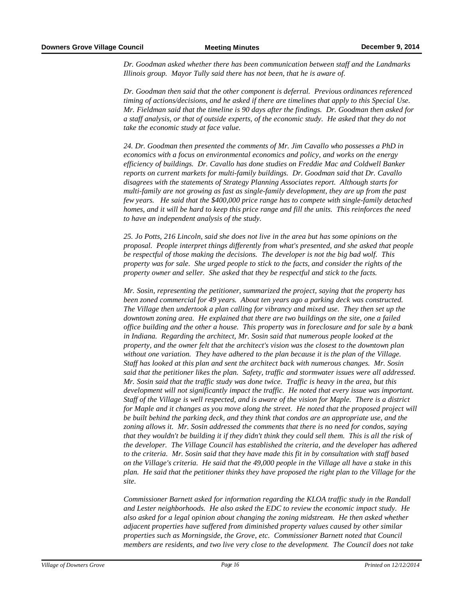*Dr. Goodman asked whether there has been communication between staff and the Landmarks Illinois group. Mayor Tully said there has not been, that he is aware of.*

*Dr. Goodman then said that the other component is deferral. Previous ordinances referenced timing of actions/decisions, and he asked if there are timelines that apply to this Special Use. Mr. Fieldman said that the timeline is 90 days after the findings. Dr. Goodman then asked for a staff analysis, or that of outside experts, of the economic study. He asked that they do not take the economic study at face value.*

*24. Dr. Goodman then presented the comments of Mr. Jim Cavallo who possesses a PhD in economics with a focus on environmental economics and policy, and works on the energy efficiency of buildings. Dr. Cavallo has done studies on Freddie Mac and Coldwell Banker reports on current markets for multi-family buildings. Dr. Goodman said that Dr. Cavallo disagrees with the statements of Strategy Planning Associates report. Although starts for multi-family are not growing as fast as single-family development, they are up from the past few years. He said that the \$400,000 price range has to compete with single-family detached homes, and it will be hard to keep this price range and fill the units. This reinforces the need to have an independent analysis of the study.* 

*25. Jo Potts, 216 Lincoln, said she does not live in the area but has some opinions on the proposal. People interpret things differently from what's presented, and she asked that people be respectful of those making the decisions. The developer is not the big bad wolf. This property was for sale. She urged people to stick to the facts, and consider the rights of the property owner and seller. She asked that they be respectful and stick to the facts.*

*Mr. Sosin, representing the petitioner, summarized the project, saying that the property has been zoned commercial for 49 years. About ten years ago a parking deck was constructed. The Village then undertook a plan calling for vibrancy and mixed use. They then set up the downtown zoning area. He explained that there are two buildings on the site, one a failed office building and the other a house. This property was in foreclosure and for sale by a bank in Indiana. Regarding the architect, Mr. Sosin said that numerous people looked at the property, and the owner felt that the architect's vision was the closest to the downtown plan without one variation. They have adhered to the plan because it is the plan of the Village. Staff has looked at this plan and sent the architect back with numerous changes. Mr. Sosin said that the petitioner likes the plan. Safety, traffic and stormwater issues were all addressed. Mr. Sosin said that the traffic study was done twice. Traffic is heavy in the area, but this development will not significantly impact the traffic. He noted that every issue was important. Staff of the Village is well respected, and is aware of the vision for Maple. There is a district for Maple and it changes as you move along the street. He noted that the proposed project will be built behind the parking deck, and they think that condos are an appropriate use, and the zoning allows it. Mr. Sosin addressed the comments that there is no need for condos, saying that they wouldn't be building it if they didn't think they could sell them. This is all the risk of the developer. The Village Council has established the criteria, and the developer has adhered to the criteria. Mr. Sosin said that they have made this fit in by consultation with staff based on the Village's criteria. He said that the 49,000 people in the Village all have a stake in this plan. He said that the petitioner thinks they have proposed the right plan to the Village for the site.* 

*Commissioner Barnett asked for information regarding the KLOA traffic study in the Randall and Lester neighborhoods. He also asked the EDC to review the economic impact study. He also asked for a legal opinion about changing the zoning midstream. He then asked whether adjacent properties have suffered from diminished property values caused by other similar properties such as Morningside, the Grove, etc. Commissioner Barnett noted that Council members are residents, and two live very close to the development. The Council does not take*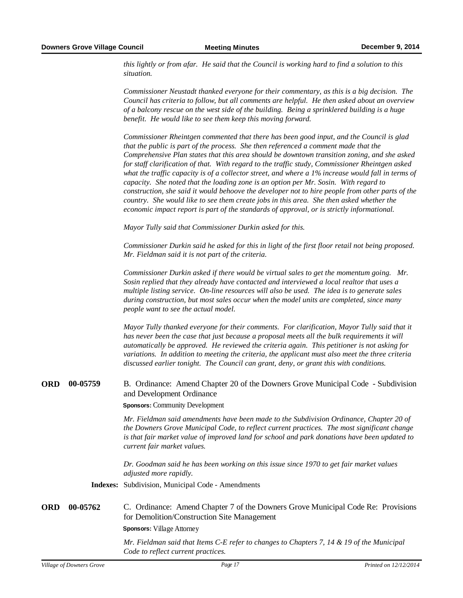*this lightly or from afar. He said that the Council is working hard to find a solution to this situation.*

*Commissioner Neustadt thanked everyone for their commentary, as this is a big decision. The Council has criteria to follow, but all comments are helpful. He then asked about an overview of a balcony rescue on the west side of the building. Being a sprinklered building is a huge benefit. He would like to see them keep this moving forward.*

*Commissioner Rheintgen commented that there has been good input, and the Council is glad that the public is part of the process. She then referenced a comment made that the Comprehensive Plan states that this area should be downtown transition zoning, and she asked for staff clarification of that. With regard to the traffic study, Commissioner Rheintgen asked what the traffic capacity is of a collector street, and where a 1% increase would fall in terms of capacity. She noted that the loading zone is an option per Mr. Sosin. With regard to construction, she said it would behoove the developer not to hire people from other parts of the country. She would like to see them create jobs in this area. She then asked whether the economic impact report is part of the standards of approval, or is strictly informational.* 

*Mayor Tully said that Commissioner Durkin asked for this.* 

*Commissioner Durkin said he asked for this in light of the first floor retail not being proposed. Mr. Fieldman said it is not part of the criteria.* 

*Commissioner Durkin asked if there would be virtual sales to get the momentum going. Mr. Sosin replied that they already have contacted and interviewed a local realtor that uses a multiple listing service. On-line resources will also be used. The idea is to generate sales during construction, but most sales occur when the model units are completed, since many people want to see the actual model.*

*Mayor Tully thanked everyone for their comments. For clarification, Mayor Tully said that it has never been the case that just because a proposal meets all the bulk requirements it will automatically be approved. He reviewed the criteria again. This petitioner is not asking for variations. In addition to meeting the criteria, the applicant must also meet the three criteria discussed earlier tonight. The Council can grant, deny, or grant this with conditions.* 

#### **B.** Ordinance: Amend Chapter 20 of the Downers Grove Municipal Code - Subdivision and Development Ordinance ORD 00-05759

**Sponsors:** Community Development

*Mr. Fieldman said amendments have been made to the Subdivision Ordinance, Chapter 20 of the Downers Grove Municipal Code, to reflect current practices. The most significant change is that fair market value of improved land for school and park donations have been updated to current fair market values.* 

*Dr. Goodman said he has been working on this issue since 1970 to get fair market values adjusted more rapidly.*

**Indexes:** Subdivision, Municipal Code - Amendments

**00-05762** C. Ordinance: Amend Chapter 7 of the Downers Grove Municipal Code Re: Provisions for Demolition/Construction Site Management ORD 00-05762

#### **Sponsors:** Village Attorney

*Mr. Fieldman said that Items C-E refer to changes to Chapters 7, 14 & 19 of the Municipal Code to reflect current practices.*